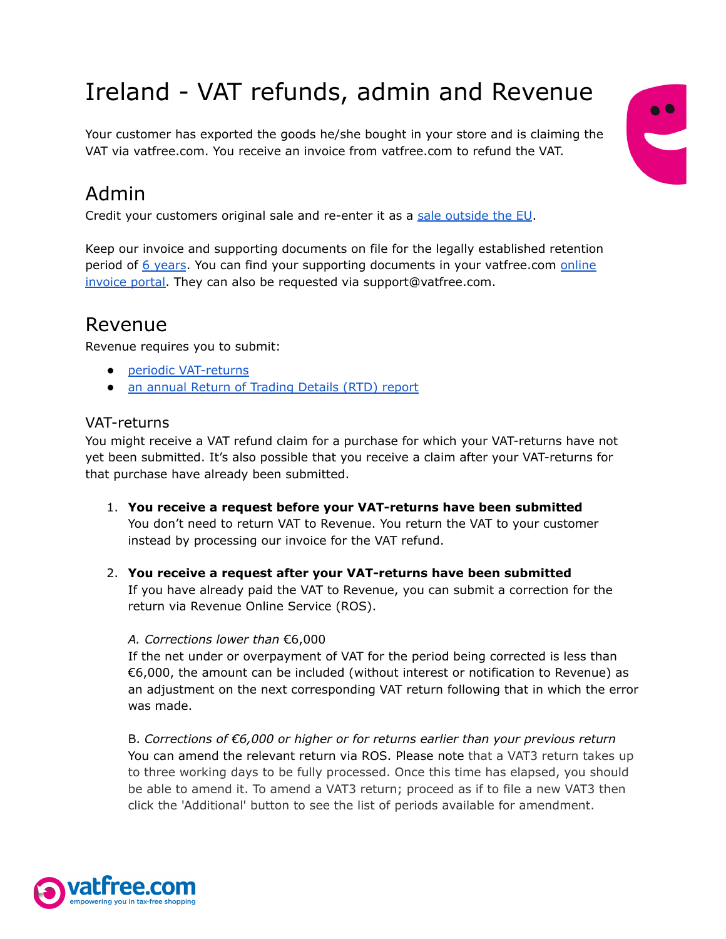# Ireland - VAT refunds, admin and Revenue

Your customer has exported the goods he/she bought in your store and is claiming the VAT via vatfree.com. You receive an invoice from vatfree.com to refund the VAT.



## Admin

Credit your customers original sale and re-enter it as a sale [outside](https://www.revenue.ie/en/vat/goods-and-services-to-and-from-abroad/vat-and-exports/index.aspx) the EU.

Keep our invoice and supporting documents on file for the legally established retention period of 6 [years](https://www.revenue.ie/en/vat/vat-records-invoices-and-credit-notes/vat-records-to-be-kept/how-long-do-you-keep-records-for.aspx#:~:text=In%20general%20you%20must%20retain,a%20period%20of%20six%20years.). You can find your supporting documents in your vatfree.com [online](https://traveller.vatfree.com/faq/embed/8Q7PrW8SoN357fi7x/Where-can-I-find-my-invoice-#faq_8Q7PrW8SoN357fi7x) [invoice](https://traveller.vatfree.com/faq/embed/8Q7PrW8SoN357fi7x/Where-can-I-find-my-invoice-#faq_8Q7PrW8SoN357fi7x) portal. They can also be requested via support@vatfree.com.

### Revenue

Revenue requires you to submit:

- periodic [VAT-returns](https://www.revenue.ie/en/vat/accounting-for-vat/how-to-account-for-value-added-tax/when-vat-becomes-payable.aspx)
- an annual Return of [Trading](https://www.revenue.ie/en/vat/accounting-for-vat/how-to-account-for-value-added-tax/when-vat-becomes-payable.aspx) Details (RTD) report

#### VAT-returns

You might receive a VAT refund claim for a purchase for which your VAT-returns have not yet been submitted. It's also possible that you receive a claim after your VAT-returns for that purchase have already been submitted.

- 1. **You receive a request before your VAT-returns have been submitted** You don't need to return VAT to Revenue. You return the VAT to your customer instead by processing our invoice for the VAT refund.
- 2. **You receive a request after your VAT-returns have been submitted** If you have already paid the VAT to Revenue, you can submit a correction for the return via Revenue Online Service (ROS).

#### *A. Corrections lower than* €6,000

If the net under or overpayment of VAT for the period being corrected is less than €6,000, the amount can be included (without interest or notification to Revenue) as an adjustment on the next corresponding VAT return following that in which the error was made.

B. *Corrections of €6,000 or higher or for returns earlier than your previous return* You can amend the relevant return via ROS. Please note that a VAT3 return takes up to three working days to be fully processed. Once this time has elapsed, you should be able to amend it. To amend a VAT3 return; proceed as if to file a new VAT3 then click the 'Additional' button to see the list of periods available for amendment.